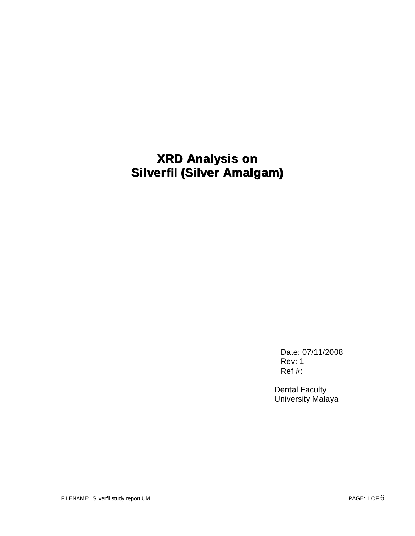# **XRD Analysis on Silverfil (Silver Amalgam)**

Date: 07/11/2008 Rev: 1 Ref #:

Dental Faculty University Malaya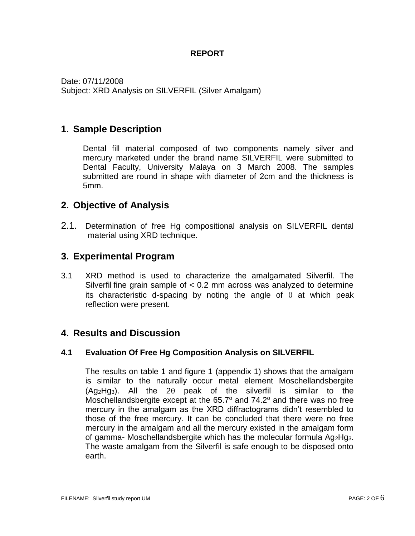#### **REPORT**

Date: 07/11/2008 Subject: XRD Analysis on SILVERFIL (Silver Amalgam)

# **1. Sample Description**

Dental fill material composed of two components namely silver and mercury marketed under the brand name SILVERFIL were submitted to Dental Faculty, University Malaya on 3 March 2008. The samples submitted are round in shape with diameter of 2cm and the thickness is 5mm.

## **2. Objective of Analysis**

2.1. Determination of free Hg compositional analysis on SILVERFIL dental material using XRD technique.

## **3. Experimental Program**

3.1 XRD method is used to characterize the amalgamated Silverfil. The Silverfil fine grain sample of < 0.2 mm across was analyzed to determine its characteristic d-spacing by noting the angle of  $\theta$  at which peak reflection were present.

## **4. Results and Discussion**

#### **4.1 Evaluation Of Free Hg Composition Analysis on SILVERFIL**

The results on table 1 and figure 1 (appendix 1) shows that the amalgam is similar to the naturally occur metal element Moschellandsbergite  $(Aq_2Hq_3)$ . All the 2 $\theta$  peak of the silverfil is similar to the Moschellandsbergite except at the  $65.7^\circ$  and  $74.2^\circ$  and there was no free mercury in the amalgam as the XRD diffractograms didn't resembled to those of the free mercury. It can be concluded that there were no free mercury in the amalgam and all the mercury existed in the amalgam form of gamma- Moschellandsbergite which has the molecular formula Ag2Hg3. The waste amalgam from the Silverfil is safe enough to be disposed onto earth.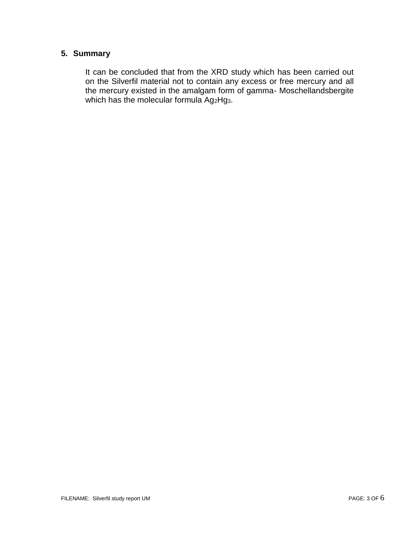#### **5. Summary**

It can be concluded that from the XRD study which has been carried out on the Silverfil material not to contain any excess or free mercury and all the mercury existed in the amalgam form of gamma- Moschellandsbergite which has the molecular formula Ag2Hg3.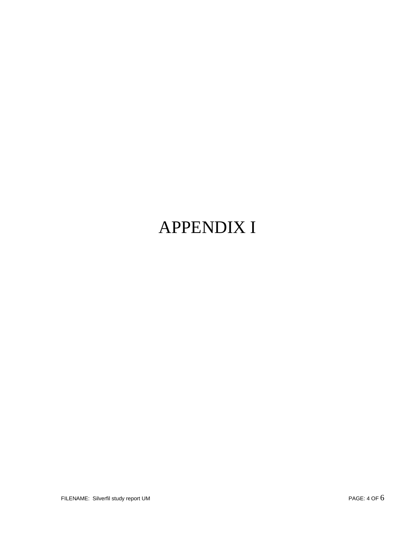# APPENDIX I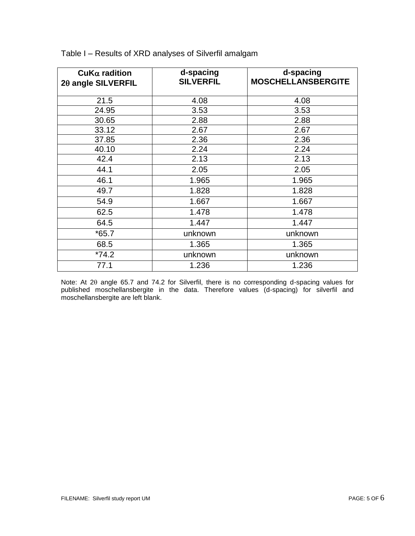| $\mathsf{CuK}\alpha$ radition<br>20 angle SILVERFIL | d-spacing<br><b>SILVERFIL</b> | d-spacing<br><b>MOSCHELLANSBERGITE</b> |
|-----------------------------------------------------|-------------------------------|----------------------------------------|
| 21.5                                                | 4.08                          | 4.08                                   |
| 24.95                                               | 3.53                          | 3.53                                   |
| 30.65                                               | 2.88                          | 2.88                                   |
| 33.12                                               | 2.67                          | 2.67                                   |
| 37.85                                               | 2.36                          | 2.36                                   |
| 40.10                                               | 2.24                          | 2.24                                   |
| 42.4                                                | 2.13                          | 2.13                                   |
| 44.1                                                | 2.05                          | 2.05                                   |
| 46.1                                                | 1.965                         | 1.965                                  |
| 49.7                                                | 1.828                         | 1.828                                  |
| 54.9                                                | 1.667                         | 1.667                                  |
| 62.5                                                | 1.478                         | 1.478                                  |
| 64.5                                                | 1.447                         | 1.447                                  |
| $*65.7$                                             | unknown                       | unknown                                |
| 68.5                                                | 1.365                         | 1.365                                  |
| $*74.2$                                             | unknown                       | unknown                                |
| 77.1                                                | 1.236                         | 1.236                                  |

Table I – Results of XRD analyses of Silverfil amalgam

Note: At 20 angle 65.7 and 74.2 for Silverfil, there is no corresponding d-spacing values for published moschellansbergite in the data. Therefore values (d-spacing) for silverfil and moschellansbergite are left blank.